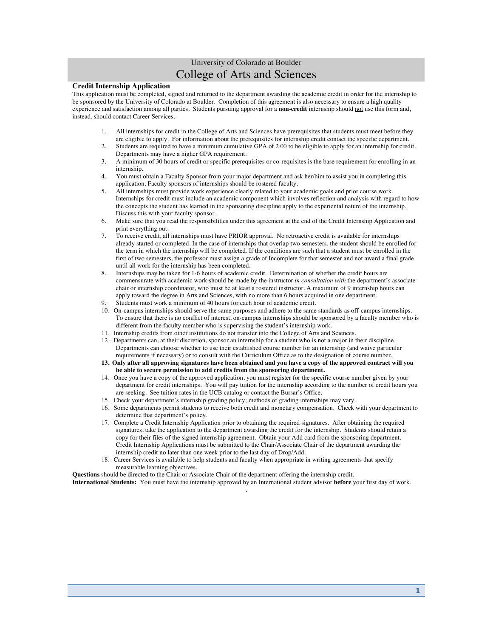# University of Colorado at Boulder College of Arts and Sciences

### **Credit Internship Application**

This application must be completed, signed and returned to the department awarding the academic credit in order for the internship to be sponsored by the University of Colorado at Boulder. Completion of this agreement is also necessary to ensure a high quality experience and satisfaction among all parties. Students pursuing approval for a **non-credit** internship should not use this form and, instead, should contact Career Services.

- 1. All internships for credit in the College of Arts and Sciences have prerequisites that students must meet before they are eligible to apply. For information about the prerequisites for internship credit contact the specific department.
- 2. Students are required to have a minimum cumulative GPA of 2.00 to be eligible to apply for an internship for credit. Departments may have a higher GPA requirement.
- 3. A minimum of 30 hours of credit or specific prerequisites or co-requisites is the base requirement for enrolling in an internship.
- 4. You must obtain a Faculty Sponsor from your major department and ask her/him to assist you in completing this application. Faculty sponsors of internships should be rostered faculty.
- 5. All internships must provide work experience clearly related to your academic goals and prior course work. Internships for credit must include an academic component which involves reflection and analysis with regard to how the concepts the student has learned in the sponsoring discipline apply to the experiental nature of the internship. Discuss this with your faculty sponsor.
- 6. Make sure that you read the responsibilities under this agreement at the end of the Credit Internship Application and print everything out.
- 7. To receive credit, all internships must have PRIOR approval. No retroactive credit is available for internships already started or completed. In the case of internships that overlap two semesters, the student should be enrolled for the term in which the internship will be completed. If the conditions are such that a student must be enrolled in the first of two semesters, the professor must assign a grade of Incomplete for that semester and not award a final grade until all work for the internship has been completed.
- 8. Internships may be taken for 1-6 hours of academic credit. Determination of whether the credit hours are commensurate with academic work should be made by the instructor *in consultation with* the department's associate chair or internship coordinator, who must be at least a rostered instructor. A maximum of 9 internship hours can apply toward the degree in Arts and Sciences, with no more than 6 hours acquired in one department.
- 9. Students must work a minimum of 40 hours for each hour of academic credit.
- 10. On-campus internships should serve the same purposes and adhere to the same standards as off-campus internships. To ensure that there is no conflict of interest, on-campus internships should be sponsored by a faculty member who is different from the faculty member who is supervising the student's internship work.
- 11. Internship credits from other institutions do not transfer into the College of Arts and Sciences.
- 12. Departments can, at their discretion, sponsor an internship for a student who is not a major in their discipline. Departments can choose whether to use their established course number for an internship (and waive particular requirements if necessary) or to consult with the Curriculum Office as to the designation of course number.
- **13. Only after all approving signatures have been obtained and you have a copy of the approved contract will you be able to secure permission to add credits from the sponsoring department.**
- 14. Once you have a copy of the approved application, you must register for the specific course number given by your department for credit internships. You will pay tuition for the internship according to the number of credit hours you are seeking. See tuition rates in the UCB catalog or contact the Bursar's Office.
- 15. Check your department's internship grading policy; methods of grading internships may vary.
- 16. Some departments permit students to receive both credit and monetary compensation. Check with your department to determine that department's policy.
- 17. Complete a Credit Internship Application prior to obtaining the required signatures. After obtaining the required signatures, take the application to the department awarding the credit for the internship. Students should retain a copy for their files of the signed internship agreement. Obtain your Add card from the sponsoring department. Credit Internship Applications must be submitted to the Chair/Associate Chair of the department awarding the internship credit no later than one week prior to the last day of Drop/Add.
- 18. Career Services is available to help students and faculty when appropriate in writing agreements that specify measurable learning objectives.

**Questions** should be directed to the Chair or Associate Chair of the department offering the internship credit.

**International Students:** You must have the internship approved by an International student advisor **before** your first day of work. .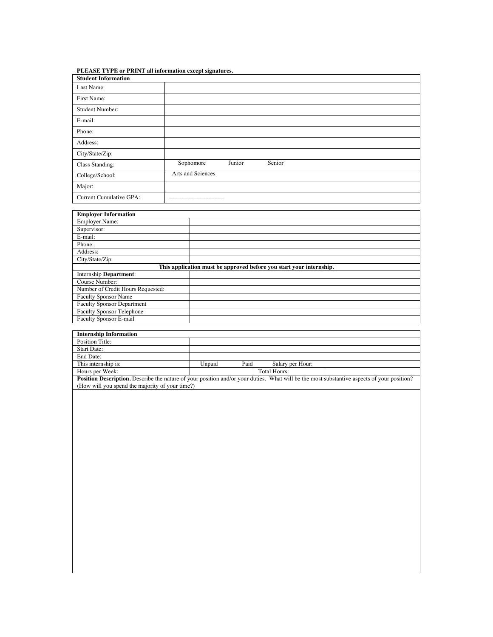## **PLEASE TYPE or PRINT all information except signatures.**

| <b>Student Information</b> |                               |
|----------------------------|-------------------------------|
| Last Name                  |                               |
| First Name:                |                               |
| <b>Student Number:</b>     |                               |
| E-mail:                    |                               |
| Phone:                     |                               |
| Address:                   |                               |
| City/State/Zip:            |                               |
| Class Standing:            | Senior<br>Junior<br>Sophomore |
| College/School:            | Arts and Sciences             |
| Major:                     |                               |
| Current Cumulative GPA:    |                               |

| <b>Employer Information</b>                                         |  |  |  |  |
|---------------------------------------------------------------------|--|--|--|--|
| <b>Employer Name:</b>                                               |  |  |  |  |
| Supervisor:                                                         |  |  |  |  |
| E-mail:                                                             |  |  |  |  |
| Phone:                                                              |  |  |  |  |
| Address:                                                            |  |  |  |  |
| City/State/Zip:                                                     |  |  |  |  |
| This application must be approved before you start your internship. |  |  |  |  |
| <b>Internship Department:</b>                                       |  |  |  |  |
| Course Number:                                                      |  |  |  |  |
| Number of Credit Hours Requested:                                   |  |  |  |  |
| <b>Faculty Sponsor Name</b>                                         |  |  |  |  |
| <b>Faculty Sponsor Department</b>                                   |  |  |  |  |
| <b>Faculty Sponsor Telephone</b>                                    |  |  |  |  |
| Faculty Sponsor E-mail                                              |  |  |  |  |

| <b>Internship Information</b>                                                                                                                     |        |      |                  |  |  |
|---------------------------------------------------------------------------------------------------------------------------------------------------|--------|------|------------------|--|--|
| Position Title:                                                                                                                                   |        |      |                  |  |  |
| <b>Start Date:</b>                                                                                                                                |        |      |                  |  |  |
| End Date:                                                                                                                                         |        |      |                  |  |  |
| This internship is:                                                                                                                               | Unpaid | Paid | Salary per Hour: |  |  |
| Hours per Week:                                                                                                                                   |        |      | Total Hours:     |  |  |
| <b>Position Description.</b> Describe the nature of your position and/or your duties. What will be the most substantive aspects of your position? |        |      |                  |  |  |

(How will you spend the majority of your time?)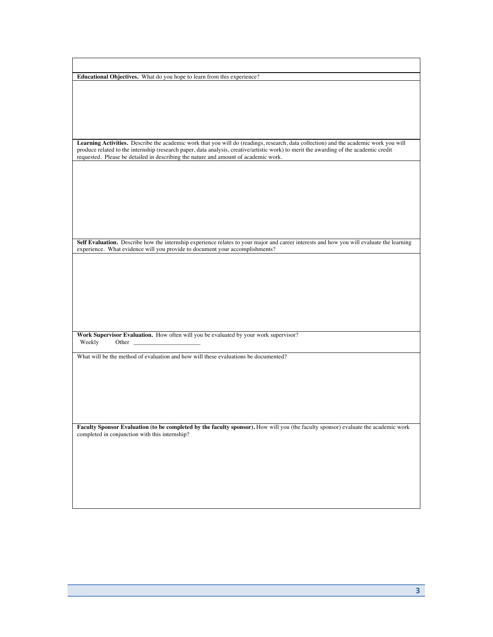**Educational Objectives.** What do you hope to learn from this experience? **Learning Activities.** Describe the academic work that you will do (readings, research, data collection) and the academic work you will produce related to the internship (research paper, data analysis, creative/artistic work) to merit the awarding of the academic credit requested. Please be detailed in describing the nature and amount of academic work. **Self Evaluation.** Describe how the internship experience relates to your major and career interests and how you will evaluate the learning experience. What evidence will you provide to document your accomplishments? **Work Supervisor Evaluation.** How often will you be evaluated by your work supervisor?<br>Weekly Other Weekly What will be the method of evaluation and how will these evaluations be documented? **Faculty Sponsor Evaluation (to be completed by the faculty sponsor).** How will you (the faculty sponsor) evaluate the academic work completed in conjunction with this internship?

**3**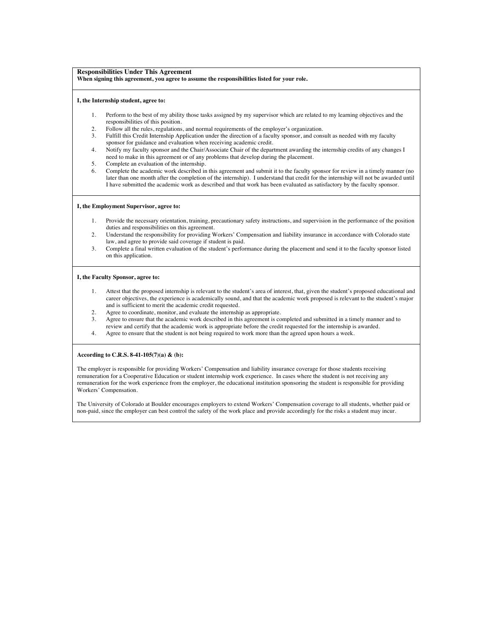#### **Responsibilities Under This Agreement When signing this agreement, you agree to assume the responsibilities listed for your role.**

#### **I, the Internship student, agree to:**

- 1. Perform to the best of my ability those tasks assigned by my supervisor which are related to my learning objectives and the responsibilities of this position.
- 2. Follow all the rules, regulations, and normal requirements of the employer's organization.<br><sup>2</sup> Fulfill this Credit Internship Application under the direction of a faculty sponsor, and cons
- 3. Fulfill this Credit Internship Application under the direction of a faculty sponsor, and consult as needed with my faculty sponsor for guidance and evaluation when receiving academic credit.
- 4. Notify my faculty sponsor and the Chair/Associate Chair of the department awarding the internship credits of any changes I need to make in this agreement or of any problems that develop during the placement.
- 5. Complete an evaluation of the internship.
- 6. Complete the academic work described in this agreement and submit it to the faculty sponsor for review in a timely manner (no later than one month after the completion of the internship). I understand that credit for the internship will not be awarded until I have submitted the academic work as described and that work has been evaluated as satisfactory by the faculty sponsor.

#### **I, the Employment Supervisor, agree to:**

- 1. Provide the necessary orientation, training, precautionary safety instructions, and supervision in the performance of the position duties and responsibilities on this agreement.
- 2. Understand the responsibility for providing Workers' Compensation and liability insurance in accordance with Colorado state law, and agree to provide said coverage if student is paid.
- 3. Complete a final written evaluation of the student's performance during the placement and send it to the faculty sponsor listed on this application.

#### **I, the Faculty Sponsor, agree to:**

- 1. Attest that the proposed internship is relevant to the student's area of interest, that, given the student's proposed educational and career objectives, the experience is academically sound, and that the academic work proposed is relevant to the student's major and is sufficient to merit the academic credit requested.
- 2. Agree to coordinate, monitor, and evaluate the internship as appropriate.
- 3. Agree to ensure that the academic work described in this agreement is completed and submitted in a timely manner and to review and certify that the academic work is appropriate before the credit requested for the internship is awarded.
- 4. Agree to ensure that the student is not being required to work more than the agreed upon hours a week.

#### **According to C.R.S. 8-41-105(7)(a) & (b):**

The employer is responsible for providing Workers' Compensation and liability insurance coverage for those students receiving remuneration for a Cooperative Education or student internship work experience. In cases where the student is not receiving any remuneration for the work experience from the employer, the educational institution sponsoring the student is responsible for providing Workers' Compensation.

The University of Colorado at Boulder encourages employers to extend Workers' Compensation coverage to all students, whether paid or non-paid, since the employer can best control the safety of the work place and provide accordingly for the risks a student may incur.